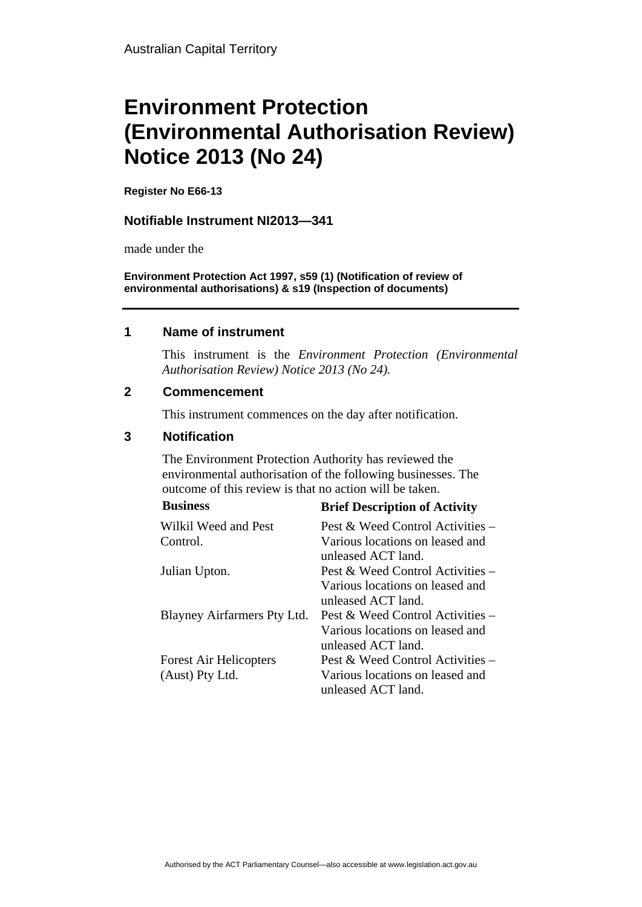# **Environment Protection (Environmental Authorisation Review) Notice 2013 (No 24)**

**Register No E66-13**

#### **Notifiable Instrument NI2013—341**

made under the

**Environment Protection Act 1997, s59 (1) (Notification of review of environmental authorisations) & s19 (Inspection of documents)**

#### **1 Name of instrument**

This instrument is the *Environment Protection (Environmental Authorisation Review) Notice 2013 (No 24).* 

### **2 Commencement**

This instrument commences on the day after notification.

### **3 Notification**

The Environment Protection Authority has reviewed the environmental authorisation of the following businesses. The outcome of this review is that no action will be taken. **Business Brief Description of Activity** 

| business                      | <b>Brief Description of Activity</b> |
|-------------------------------|--------------------------------------|
| Wilkil Weed and Pest          | Pest & Weed Control Activities $-$   |
| Control.                      | Various locations on leased and      |
|                               | unleased ACT land.                   |
| Julian Upton.                 | Pest & Weed Control Activities $-$   |
|                               | Various locations on leased and      |
|                               | unleased ACT land.                   |
| Blayney Airfarmers Pty Ltd.   | Pest & Weed Control Activities –     |
|                               | Various locations on leased and      |
|                               | unleased ACT land.                   |
| <b>Forest Air Helicopters</b> | Pest & Weed Control Activities –     |
| (Aust) Pty Ltd.               | Various locations on leased and      |
|                               | unleased ACT land.                   |